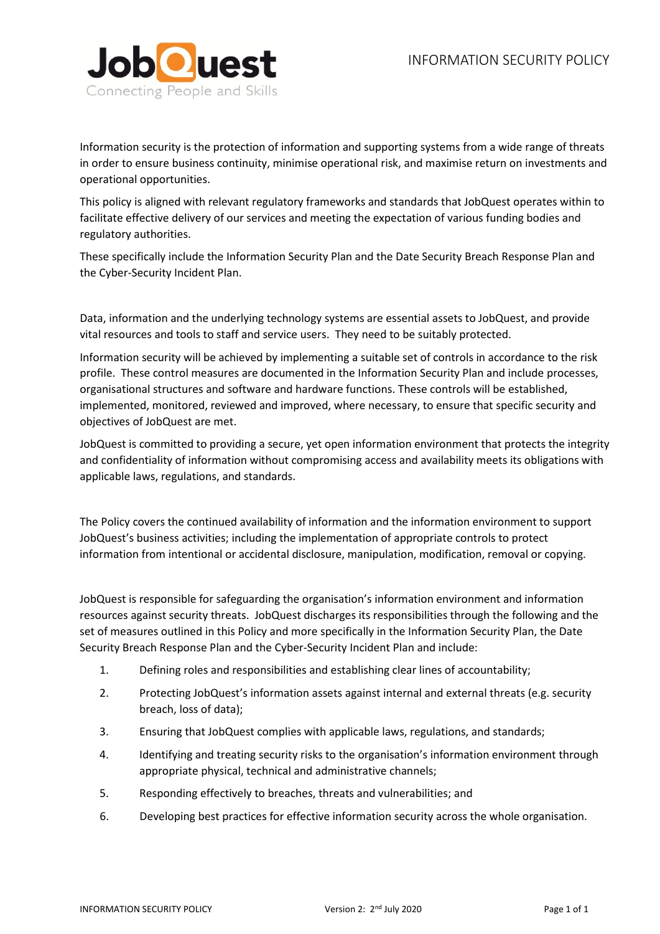

Information security is the protection of information and supporting systems from a wide range of threats in order to ensure business continuity, minimise operational risk, and maximise return on investments and operational opportunities.

This policy is aligned with relevant regulatory frameworks and standards that JobQuest operates within to facilitate effective delivery of our services and meeting the expectation of various funding bodies and regulatory authorities.

These specifically include the Information Security Plan and the Date Security Breach Response Plan and the Cyber-Security Incident Plan.

Data, information and the underlying technology systems are essential assets to JobQuest, and provide vital resources and tools to staff and service users. They need to be suitably protected.

Information security will be achieved by implementing a suitable set of controls in accordance to the risk profile. These control measures are documented in the Information Security Plan and include processes, organisational structures and software and hardware functions. These controls will be established, implemented, monitored, reviewed and improved, where necessary, to ensure that specific security and objectives of JobQuest are met.

JobQuest is committed to providing a secure, yet open information environment that protects the integrity and confidentiality of information without compromising access and availability meets its obligations with applicable laws, regulations, and standards.

The Policy covers the continued availability of information and the information environment to support JobQuest's business activities; including the implementation of appropriate controls to protect information from intentional or accidental disclosure, manipulation, modification, removal or copying.

JobQuest is responsible for safeguarding the organisation's information environment and information resources against security threats. JobQuest discharges its responsibilities through the following and the set of measures outlined in this Policy and more specifically in the Information Security Plan, the Date Security Breach Response Plan and the Cyber-Security Incident Plan and include:

- 1. Defining roles and responsibilities and establishing clear lines of accountability;
- 2. Protecting JobQuest's information assets against internal and external threats (e.g. security breach, loss of data);
- 3. Ensuring that JobQuest complies with applicable laws, regulations, and standards;
- 4. Identifying and treating security risks to the organisation's information environment through appropriate physical, technical and administrative channels;
- 5. Responding effectively to breaches, threats and vulnerabilities; and
- 6. Developing best practices for effective information security across the whole organisation.